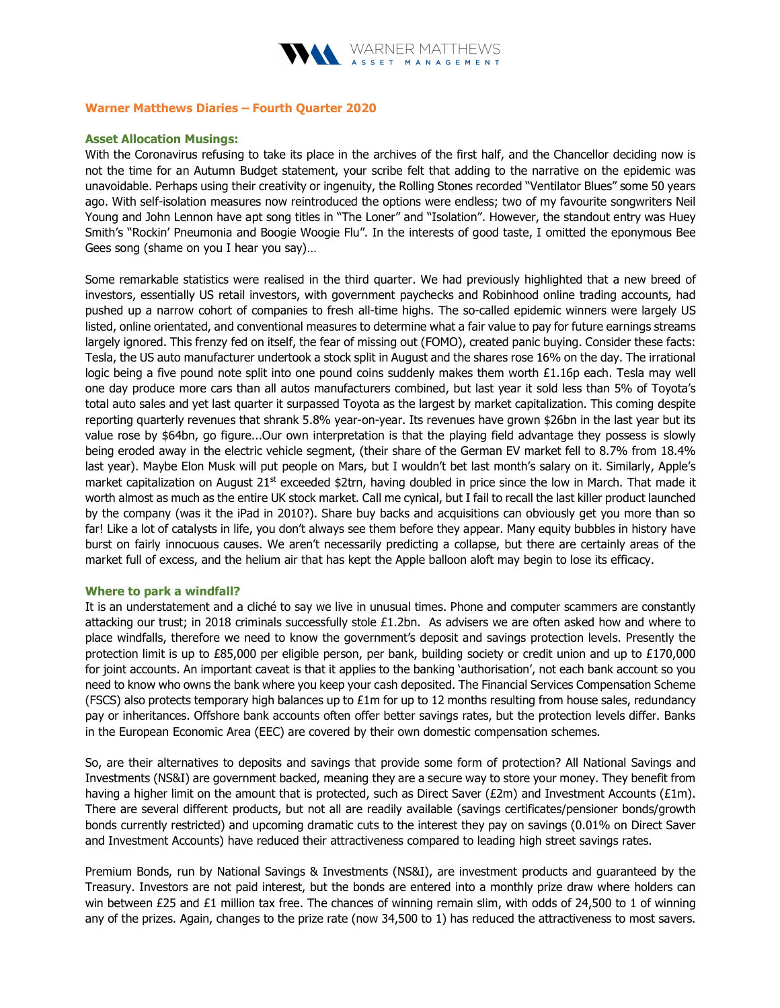

# Warner Matthews Diaries – Fourth Quarter 2020

# Asset Allocation Musings:

With the Coronavirus refusing to take its place in the archives of the first half, and the Chancellor deciding now is not the time for an Autumn Budget statement, your scribe felt that adding to the narrative on the epidemic was unavoidable. Perhaps using their creativity or ingenuity, the Rolling Stones recorded "Ventilator Blues" some 50 years ago. With self-isolation measures now reintroduced the options were endless; two of my favourite songwriters Neil Young and John Lennon have apt song titles in "The Loner" and "Isolation". However, the standout entry was Huey Smith's "Rockin' Pneumonia and Boogie Woogie Flu". In the interests of good taste, I omitted the eponymous Bee Gees song (shame on you I hear you say)…

Some remarkable statistics were realised in the third quarter. We had previously highlighted that a new breed of investors, essentially US retail investors, with government paychecks and Robinhood online trading accounts, had pushed up a narrow cohort of companies to fresh all-time highs. The so-called epidemic winners were largely US listed, online orientated, and conventional measures to determine what a fair value to pay for future earnings streams largely ignored. This frenzy fed on itself, the fear of missing out (FOMO), created panic buying. Consider these facts: Tesla, the US auto manufacturer undertook a stock split in August and the shares rose 16% on the day. The irrational logic being a five pound note split into one pound coins suddenly makes them worth £1.16p each. Tesla may well one day produce more cars than all autos manufacturers combined, but last year it sold less than 5% of Toyota's total auto sales and yet last quarter it surpassed Toyota as the largest by market capitalization. This coming despite reporting quarterly revenues that shrank 5.8% year-on-year. Its revenues have grown \$26bn in the last year but its value rose by \$64bn, go figure...Our own interpretation is that the playing field advantage they possess is slowly being eroded away in the electric vehicle segment, (their share of the German EV market fell to 8.7% from 18.4% last year). Maybe Elon Musk will put people on Mars, but I wouldn't bet last month's salary on it. Similarly, Apple's market capitalization on August  $21^{st}$  exceeded \$2trn, having doubled in price since the low in March. That made it worth almost as much as the entire UK stock market. Call me cynical, but I fail to recall the last killer product launched by the company (was it the iPad in 2010?). Share buy backs and acquisitions can obviously get you more than so far! Like a lot of catalysts in life, you don't always see them before they appear. Many equity bubbles in history have burst on fairly innocuous causes. We aren't necessarily predicting a collapse, but there are certainly areas of the market full of excess, and the helium air that has kept the Apple balloon aloft may begin to lose its efficacy.

### Where to park a windfall?

It is an understatement and a cliché to say we live in unusual times. Phone and computer scammers are constantly attacking our trust; in 2018 criminals successfully stole  $£1.2$ bn. As advisers we are often asked how and where to place windfalls, therefore we need to know the government's deposit and savings protection levels. Presently the protection limit is up to £85,000 per eligible person, per bank, building society or credit union and up to £170,000 for joint accounts. An important caveat is that it applies to the banking 'authorisation', not each bank account so you need to know who owns the bank where you keep your cash deposited. The Financial Services Compensation Scheme (FSCS) also protects temporary high balances up to  $£1m$  for up to 12 months resulting from house sales, redundancy pay or inheritances. Offshore bank accounts often offer better savings rates, but the protection levels differ. Banks in the European Economic Area (EEC) are covered by their own domestic compensation schemes.

So, are their alternatives to deposits and savings that provide some form of protection? All National Savings and Investments (NS&I) are government backed, meaning they are a secure way to store your money. They benefit from having a higher limit on the amount that is protected, such as Direct Saver (£2m) and Investment Accounts (£1m). There are several different products, but not all are readily available (savings certificates/pensioner bonds/growth bonds currently restricted) and upcoming dramatic cuts to the interest they pay on savings (0.01% on Direct Saver and Investment Accounts) have reduced their attractiveness compared to leading high street savings rates.

Premium Bonds, run by National Savings & Investments (NS&I), are investment products and guaranteed by the Treasury. Investors are not paid interest, but the bonds are entered into a monthly prize draw where holders can win between £25 and £1 million tax free. The chances of winning remain slim, with odds of 24,500 to 1 of winning any of the prizes. Again, changes to the prize rate (now 34,500 to 1) has reduced the attractiveness to most savers.